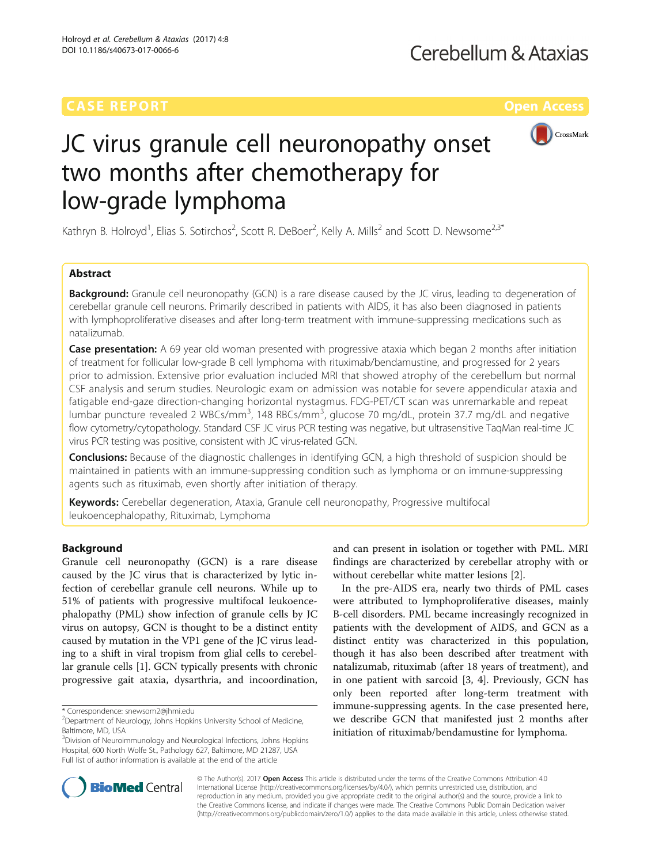

# JC virus granule cell neuronopathy onset two months after chemotherapy for low-grade lymphoma

Kathryn B. Holroyd<sup>1</sup>, Elias S. Sotirchos<sup>2</sup>, Scott R. DeBoer<sup>2</sup>, Kelly A. Mills<sup>2</sup> and Scott D. Newsome<sup>2,3\*</sup>

# Abstract

**Background:** Granule cell neuronopathy (GCN) is a rare disease caused by the JC virus, leading to degeneration of cerebellar granule cell neurons. Primarily described in patients with AIDS, it has also been diagnosed in patients with lymphoproliferative diseases and after long-term treatment with immune-suppressing medications such as natalizumab.

**Case presentation:** A 69 year old woman presented with progressive ataxia which began 2 months after initiation of treatment for follicular low-grade B cell lymphoma with rituximab/bendamustine, and progressed for 2 years prior to admission. Extensive prior evaluation included MRI that showed atrophy of the cerebellum but normal CSF analysis and serum studies. Neurologic exam on admission was notable for severe appendicular ataxia and fatigable end-gaze direction-changing horizontal nystagmus. FDG-PET/CT scan was unremarkable and repeat lumbar puncture revealed 2 WBCs/mm<sup>3</sup>, 148 RBCs/mm<sup>3</sup>, glucose 70 mg/dL, protein 37.7 mg/dL and negative flow cytometry/cytopathology. Standard CSF JC virus PCR testing was negative, but ultrasensitive TaqMan real-time JC virus PCR testing was positive, consistent with JC virus-related GCN.

**Conclusions:** Because of the diagnostic challenges in identifying GCN, a high threshold of suspicion should be maintained in patients with an immune-suppressing condition such as lymphoma or on immune-suppressing agents such as rituximab, even shortly after initiation of therapy.

Keywords: Cerebellar degeneration, Ataxia, Granule cell neuronopathy, Progressive multifocal leukoencephalopathy, Rituximab, Lymphoma

# Background

Granule cell neuronopathy (GCN) is a rare disease caused by the JC virus that is characterized by lytic infection of cerebellar granule cell neurons. While up to 51% of patients with progressive multifocal leukoencephalopathy (PML) show infection of granule cells by JC virus on autopsy, GCN is thought to be a distinct entity caused by mutation in the VP1 gene of the JC virus leading to a shift in viral tropism from glial cells to cerebellar granule cells [[1\]](#page-2-0). GCN typically presents with chronic progressive gait ataxia, dysarthria, and incoordination,

and can present in isolation or together with PML. MRI findings are characterized by cerebellar atrophy with or without cerebellar white matter lesions [[2](#page-2-0)].

In the pre-AIDS era, nearly two thirds of PML cases were attributed to lymphoproliferative diseases, mainly B-cell disorders. PML became increasingly recognized in patients with the development of AIDS, and GCN as a distinct entity was characterized in this population, though it has also been described after treatment with natalizumab, rituximab (after 18 years of treatment), and in one patient with sarcoid [\[3, 4](#page-2-0)]. Previously, GCN has only been reported after long-term treatment with immune-suppressing agents. In the case presented here, we describe GCN that manifested just 2 months after initiation of rituximab/bendamustine for lymphoma.



© The Author(s). 2017 **Open Access** This article is distributed under the terms of the Creative Commons Attribution 4.0 International License [\(http://creativecommons.org/licenses/by/4.0/](http://creativecommons.org/licenses/by/4.0/)), which permits unrestricted use, distribution, and reproduction in any medium, provided you give appropriate credit to the original author(s) and the source, provide a link to the Creative Commons license, and indicate if changes were made. The Creative Commons Public Domain Dedication waiver [\(http://creativecommons.org/publicdomain/zero/1.0/](http://creativecommons.org/publicdomain/zero/1.0/)) applies to the data made available in this article, unless otherwise stated.

<sup>\*</sup> Correspondence: [snewsom2@jhmi.edu](mailto:snewsom2@jhmi.edu) <sup>2</sup>

<sup>&</sup>lt;sup>2</sup>Department of Neurology, Johns Hopkins University School of Medicine, Baltimore, MD, USA

<sup>&</sup>lt;sup>3</sup>Division of Neuroimmunology and Neurological Infections, Johns Hopkins Hospital, 600 North Wolfe St., Pathology 627, Baltimore, MD 21287, USA Full list of author information is available at the end of the article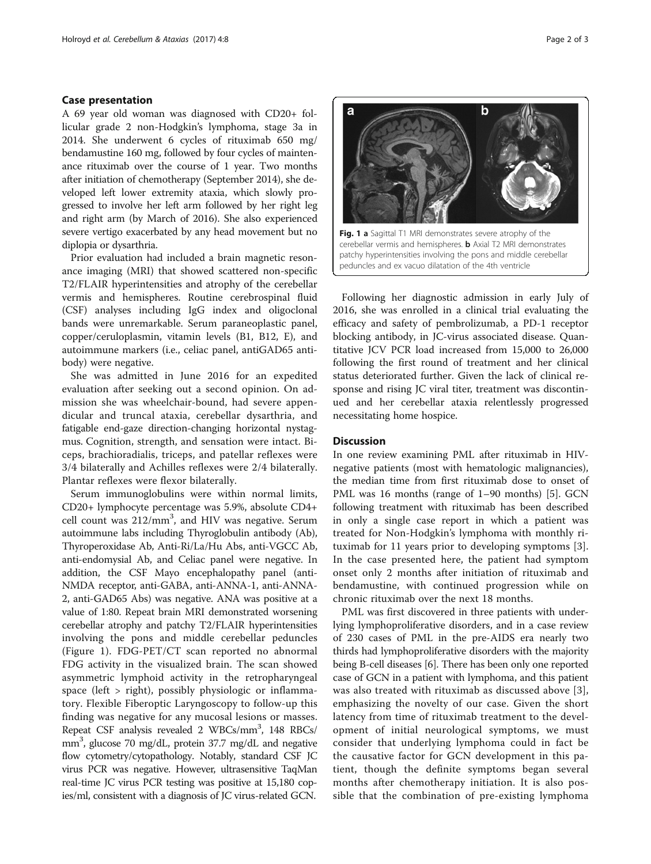# Case presentation

A 69 year old woman was diagnosed with CD20+ follicular grade 2 non-Hodgkin's lymphoma, stage 3a in 2014. She underwent 6 cycles of rituximab 650 mg/ bendamustine 160 mg, followed by four cycles of maintenance rituximab over the course of 1 year. Two months after initiation of chemotherapy (September 2014), she developed left lower extremity ataxia, which slowly progressed to involve her left arm followed by her right leg and right arm (by March of 2016). She also experienced severe vertigo exacerbated by any head movement but no diplopia or dysarthria.

Prior evaluation had included a brain magnetic resonance imaging (MRI) that showed scattered non-specific T2/FLAIR hyperintensities and atrophy of the cerebellar vermis and hemispheres. Routine cerebrospinal fluid (CSF) analyses including IgG index and oligoclonal bands were unremarkable. Serum paraneoplastic panel, copper/ceruloplasmin, vitamin levels (B1, B12, E), and autoimmune markers (i.e., celiac panel, antiGAD65 antibody) were negative.

She was admitted in June 2016 for an expedited evaluation after seeking out a second opinion. On admission she was wheelchair-bound, had severe appendicular and truncal ataxia, cerebellar dysarthria, and fatigable end-gaze direction-changing horizontal nystagmus. Cognition, strength, and sensation were intact. Biceps, brachioradialis, triceps, and patellar reflexes were 3/4 bilaterally and Achilles reflexes were 2/4 bilaterally. Plantar reflexes were flexor bilaterally.

Serum immunoglobulins were within normal limits, CD20+ lymphocyte percentage was 5.9%, absolute CD4+ cell count was 212/mm<sup>3</sup>, and HIV was negative. Serum autoimmune labs including Thyroglobulin antibody (Ab), Thyroperoxidase Ab, Anti-Ri/La/Hu Abs, anti-VGCC Ab, anti-endomysial Ab, and Celiac panel were negative. In addition, the CSF Mayo encephalopathy panel (anti-NMDA receptor, anti-GABA, anti-ANNA-1, anti-ANNA-2, anti-GAD65 Abs) was negative. ANA was positive at a value of 1:80. Repeat brain MRI demonstrated worsening cerebellar atrophy and patchy T2/FLAIR hyperintensities involving the pons and middle cerebellar peduncles (Figure 1). FDG-PET/CT scan reported no abnormal FDG activity in the visualized brain. The scan showed asymmetric lymphoid activity in the retropharyngeal space (left  $>$  right), possibly physiologic or inflammatory. Flexible Fiberoptic Laryngoscopy to follow-up this finding was negative for any mucosal lesions or masses. Repeat CSF analysis revealed 2 WBCs/mm<sup>3</sup>, 148 RBCs/ mm3 , glucose 70 mg/dL, protein 37.7 mg/dL and negative flow cytometry/cytopathology. Notably, standard CSF JC virus PCR was negative. However, ultrasensitive TaqMan real-time JC virus PCR testing was positive at 15,180 copies/ml, consistent with a diagnosis of JC virus-related GCN.



Following her diagnostic admission in early July of 2016, she was enrolled in a clinical trial evaluating the efficacy and safety of pembrolizumab, a PD-1 receptor blocking antibody, in JC-virus associated disease. Quantitative JCV PCR load increased from 15,000 to 26,000 following the first round of treatment and her clinical status deteriorated further. Given the lack of clinical response and rising JC viral titer, treatment was discontinued and her cerebellar ataxia relentlessly progressed necessitating home hospice.

# **Discussion**

In one review examining PML after rituximab in HIVnegative patients (most with hematologic malignancies), the median time from first rituximab dose to onset of PML was 16 months (range of 1–90 months) [[5\]](#page-2-0). GCN following treatment with rituximab has been described in only a single case report in which a patient was treated for Non-Hodgkin's lymphoma with monthly rituximab for 11 years prior to developing symptoms [\[3](#page-2-0)]. In the case presented here, the patient had symptom onset only 2 months after initiation of rituximab and bendamustine, with continued progression while on chronic rituximab over the next 18 months.

PML was first discovered in three patients with underlying lymphoproliferative disorders, and in a case review of 230 cases of PML in the pre-AIDS era nearly two thirds had lymphoproliferative disorders with the majority being B-cell diseases [\[6](#page-2-0)]. There has been only one reported case of GCN in a patient with lymphoma, and this patient was also treated with rituximab as discussed above [[3](#page-2-0)], emphasizing the novelty of our case. Given the short latency from time of rituximab treatment to the development of initial neurological symptoms, we must consider that underlying lymphoma could in fact be the causative factor for GCN development in this patient, though the definite symptoms began several months after chemotherapy initiation. It is also possible that the combination of pre-existing lymphoma